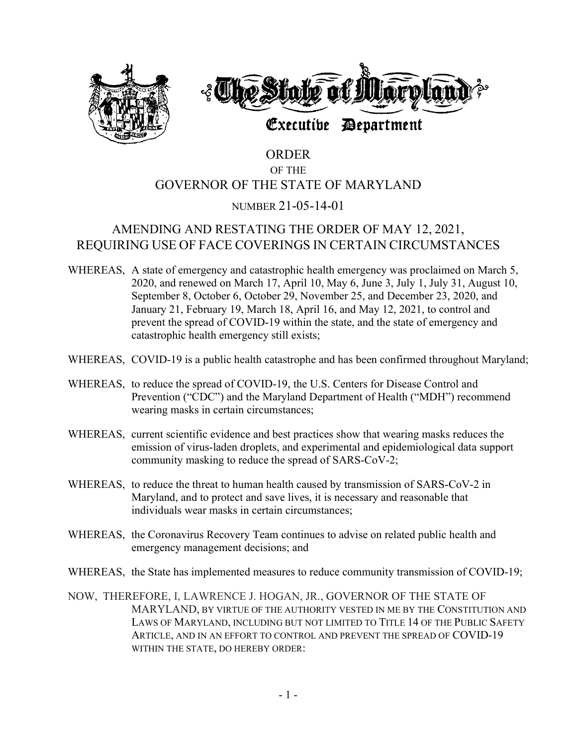



# Executive Department

# ORDER OF THE GOVERNOR OF THE STATE OF MARYLAND

### NUMBER 21-05-14-01

## AMENDING AND RESTATING THE ORDER OF MAY 12, 2021, REQUIRING USE OF FACE COVERINGS IN CERTAIN CIRCUMSTANCES

- WHEREAS, A state of emergency and catastrophic health emergency was proclaimed on March 5, 2020, and renewed on March 17, April 10, May 6, June 3, July 1, July 31, August 10, September 8, October 6, October 29, November 25, and December 23, 2020, and January 21, February 19, March 18, April 16, and May 12, 2021, to control and prevent the spread of COVID-19 within the state, and the state of emergency and catastrophic health emergency still exists;
- WHEREAS, COVID-19 is a public health catastrophe and has been confirmed throughout Maryland;
- WHEREAS, to reduce the spread of COVID-19, the U.S. Centers for Disease Control and Prevention ("CDC") and the Maryland Department of Health ("MDH") recommend wearing masks in certain circumstances;
- WHEREAS, current scientific evidence and best practices show that wearing masks reduces the emission of virus-laden droplets, and experimental and epidemiological data support community masking to reduce the spread of SARS-CoV-2;
- WHEREAS, to reduce the threat to human health caused by transmission of SARS-CoV-2 in Maryland, and to protect and save lives, it is necessary and reasonable that individuals wear masks in certain circumstances;
- WHEREAS, the Coronavirus Recovery Team continues to advise on related public health and emergency management decisions; and
- WHEREAS, the State has implemented measures to reduce community transmission of COVID-19;
- NOW, THEREFORE, I, LAWRENCE J. HOGAN, JR., GOVERNOR OF THE STATE OF MARYLAND, BY VIRTUE OF THE AUTHORITY VESTED IN ME BY THE CONSTITUTION AND LAWS OF MARYLAND, INCLUDING BUT NOT LIMITED TO TITLE 14 OF THE PUBLIC SAFETY ARTICLE, AND IN AN EFFORT TO CONTROL AND PREVENT THE SPREAD OF COVID-19 WITHIN THE STATE, DO HEREBY ORDER: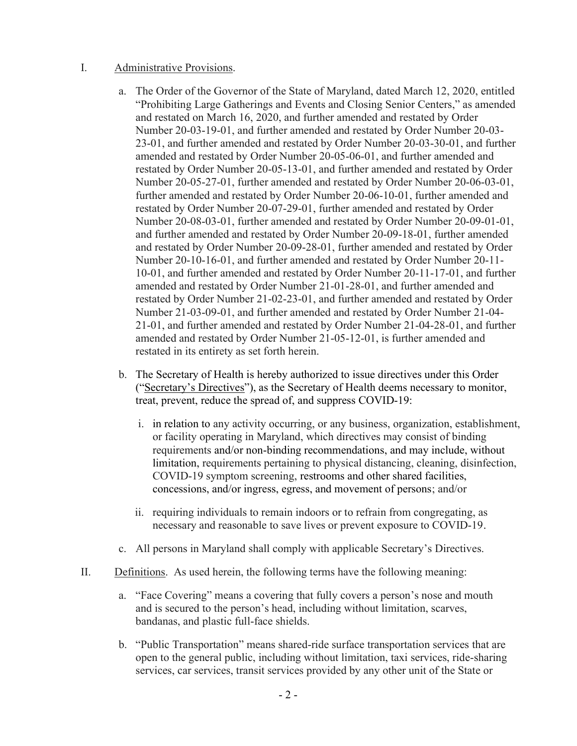### I. Administrative Provisions.

- a. The Order of the Governor of the State of Maryland, dated March 12, 2020, entitled "Prohibiting Large Gatherings and Events and Closing Senior Centers," as amended and restated on March 16, 2020, and further amended and restated by Order Number 20-03-19-01, and further amended and restated by Order Number 20-03- 23-01, and further amended and restated by Order Number 20-03-30-01, and further amended and restated by Order Number 20-05-06-01, and further amended and restated by Order Number 20-05-13-01, and further amended and restated by Order Number 20-05-27-01, further amended and restated by Order Number 20-06-03-01, further amended and restated by Order Number 20-06-10-01, further amended and restated by Order Number 20-07-29-01, further amended and restated by Order Number 20-08-03-01, further amended and restated by Order Number 20-09-01-01, and further amended and restated by Order Number 20-09-18-01, further amended and restated by Order Number 20-09-28-01, further amended and restated by Order Number 20-10-16-01, and further amended and restated by Order Number 20-11- 10-01, and further amended and restated by Order Number 20-11-17-01, and further amended and restated by Order Number 21-01-28-01, and further amended and restated by Order Number 21-02-23-01, and further amended and restated by Order Number 21-03-09-01, and further amended and restated by Order Number 21-04- 21-01, and further amended and restated by Order Number 21-04-28-01, and further amended and restated by Order Number 21-05-12-01, is further amended and restated in its entirety as set forth herein.
- b. The Secretary of Health is hereby authorized to issue directives under this Order ("Secretary's Directives"), as the Secretary of Health deems necessary to monitor, treat, prevent, reduce the spread of, and suppress COVID-19:
	- i. in relation to any activity occurring, or any business, organization, establishment, or facility operating in Maryland, which directives may consist of binding requirements and/or non-binding recommendations, and may include, without limitation, requirements pertaining to physical distancing, cleaning, disinfection, COVID-19 symptom screening, restrooms and other shared facilities, concessions, and/or ingress, egress, and movement of persons; and/or
	- ii. requiring individuals to remain indoors or to refrain from congregating, as necessary and reasonable to save lives or prevent exposure to COVID-19.
- c. All persons in Maryland shall comply with applicable Secretary's Directives.
- II. Definitions. As used herein, the following terms have the following meaning:
	- a. "Face Covering" means a covering that fully covers a person's nose and mouth and is secured to the person's head, including without limitation, scarves, bandanas, and plastic full-face shields.
	- b. "Public Transportation" means shared-ride surface transportation services that are open to the general public, including without limitation, taxi services, ride-sharing services, car services, transit services provided by any other unit of the State or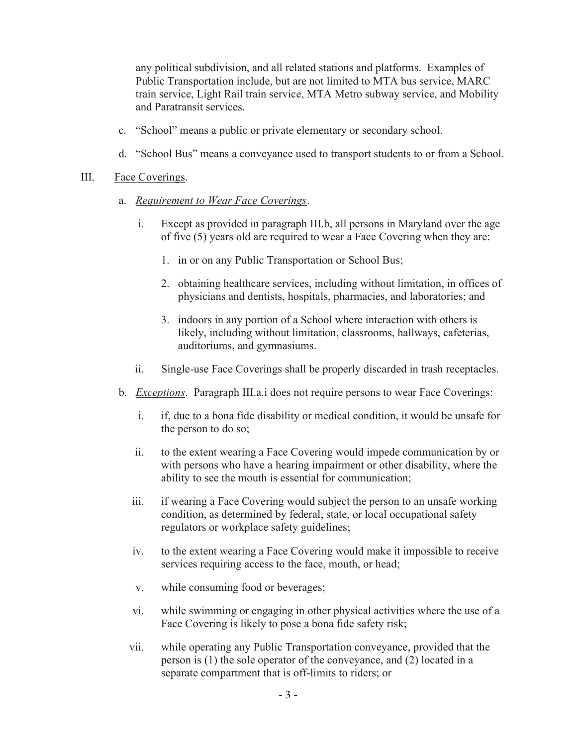any political subdivision, and all related stations and platforms. Examples of Public Transportation include, but are not limited to MTA bus service, MARC train service, Light Rail train service, MTA Metro subway service, and Mobility and Paratransit services.

- c. "School" means a public or private elementary or secondary school.
- d. "School Bus" means a conveyance used to transport students to or from a School.

#### III. Face Coverings.

- a. Requirement to Wear Face Coverings.
	- i. Except as provided in paragraph III.b, all persons in Maryland over the age of five (5) years old are required to wear a Face Covering when they are:
		- 1. in or on any Public Transportation or School Bus;
		- 2. obtaining healthcare services, including without limitation, in offices of physicians and dentists, hospitals, pharmacies, and laboratories; and
		- 3. indoors in any portion of a School where interaction with others is likely, including without limitation, classrooms, hallways, cafeterias, auditoriums, and gymnasiums.
	- ii. Single-use Face Coverings shall be properly discarded in trash receptacles.
- b. *Exceptions*. Paragraph III.a. does not require persons to wear Face Coverings:
	- i. if, due to a bona fide disability or medical condition, it would be unsafe for the person to do so;
	- ii. to the extent wearing a Face Covering would impede communication by or with persons who have a hearing impairment or other disability, where the ability to see the mouth is essential for communication;
	- iii. if wearing a Face Covering would subject the person to an unsafe working condition, as determined by federal, state, or local occupational safety regulators or workplace safety guidelines;
	- iv. to the extent wearing a Face Covering would make it impossible to receive services requiring access to the face, mouth, or head;
	- v. while consuming food or beverages;
	- vi. while swimming or engaging in other physical activities where the use of a Face Covering is likely to pose a bona fide safety risk;
	- vii. while operating any Public Transportation conveyance, provided that the person is (1) the sole operator of the conveyance, and (2) located in a separate compartment that is off-limits to riders; or